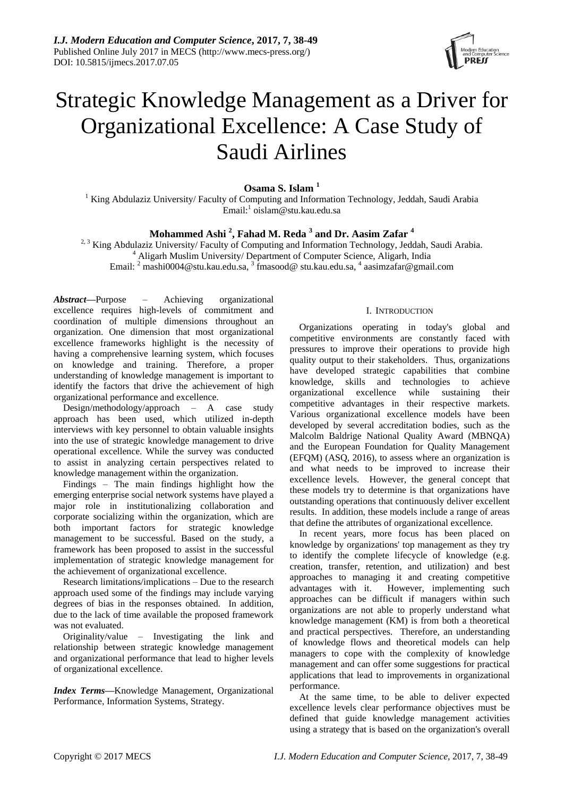

# Strategic Knowledge Management as a Driver for Organizational Excellence: A Case Study of Saudi Airlines

**Osama S. Islam <sup>1</sup>**

<sup>1</sup> King Abdulaziz University/ Faculty of Computing and Information Technology, Jeddah, Saudi Arabia Email:<sup>1</sup> oislam@stu.kau.edu.sa

## **Mohammed Ashi <sup>2</sup> , Fahad M. Reda <sup>3</sup> and Dr. Aasim Zafar <sup>4</sup>**

<sup>2, 3</sup> King Abdulaziz University/ Faculty of Computing and Information Technology, Jeddah, Saudi Arabia. <sup>4</sup> Aligarh Muslim University/ Department of Computer Science, Aligarh, India Email:  $^2$  mashi $0004$ @stu.kau.edu.sa,  $^3$  fmasood@ stu.kau.edu.sa,  $^4$  aasimzafar@gmail.com

*Abstract***—**Purpose – Achieving organizational excellence requires high-levels of commitment and coordination of multiple dimensions throughout an organization. One dimension that most organizational excellence frameworks highlight is the necessity of having a comprehensive learning system, which focuses on knowledge and training. Therefore, a proper understanding of knowledge management is important to identify the factors that drive the achievement of high organizational performance and excellence.

Design/methodology/approach – A case study approach has been used, which utilized in-depth interviews with key personnel to obtain valuable insights into the use of strategic knowledge management to drive operational excellence. While the survey was conducted to assist in analyzing certain perspectives related to knowledge management within the organization.

Findings – The main findings highlight how the emerging enterprise social network systems have played a major role in institutionalizing collaboration and corporate socializing within the organization, which are both important factors for strategic knowledge management to be successful. Based on the study, a framework has been proposed to assist in the successful implementation of strategic knowledge management for the achievement of organizational excellence.

Research limitations/implications – Due to the research approach used some of the findings may include varying degrees of bias in the responses obtained. In addition, due to the lack of time available the proposed framework was not evaluated.

Originality/value – Investigating the link and relationship between strategic knowledge management and organizational performance that lead to higher levels of organizational excellence.

*Index Terms***—**Knowledge Management, Organizational Performance, Information Systems, Strategy.

## I. INTRODUCTION

Organizations operating in today's global and competitive environments are constantly faced with pressures to improve their operations to provide high quality output to their stakeholders. Thus, organizations have developed strategic capabilities that combine knowledge, skills and technologies to achieve organizational excellence while sustaining their competitive advantages in their respective markets. Various organizational excellence models have been developed by several accreditation bodies, such as the Malcolm Baldrige National Quality Award (MBNQA) and the European Foundation for Quality Management (EFQM) (ASQ, 2016), to assess where an organization is and what needs to be improved to increase their excellence levels. However, the general concept that these models try to determine is that organizations have outstanding operations that continuously deliver excellent results. In addition, these models include a range of areas that define the attributes of organizational excellence.

In recent years, more focus has been placed on knowledge by organizations' top management as they try to identify the complete lifecycle of knowledge (e.g. creation, transfer, retention, and utilization) and best approaches to managing it and creating competitive advantages with it. However, implementing such approaches can be difficult if managers within such organizations are not able to properly understand what knowledge management (KM) is from both a theoretical and practical perspectives. Therefore, an understanding of knowledge flows and theoretical models can help managers to cope with the complexity of knowledge management and can offer some suggestions for practical applications that lead to improvements in organizational performance.

At the same time, to be able to deliver expected excellence levels clear performance objectives must be defined that guide knowledge management activities using a strategy that is based on the organization's overall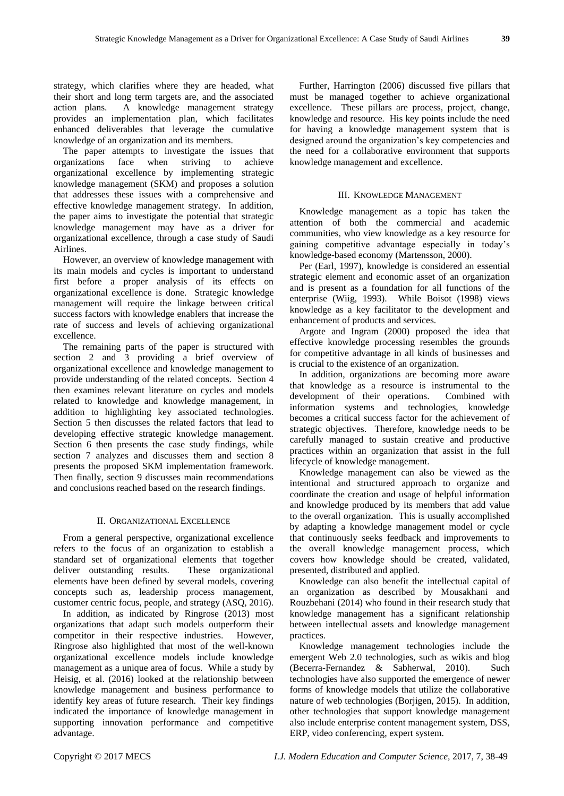strategy, which clarifies where they are headed, what their short and long term targets are, and the associated action plans. A knowledge management strategy provides an implementation plan, which facilitates enhanced deliverables that leverage the cumulative knowledge of an organization and its members.

The paper attempts to investigate the issues that organizations face when striving to achieve organizational excellence by implementing strategic knowledge management (SKM) and proposes a solution that addresses these issues with a comprehensive and effective knowledge management strategy. In addition, the paper aims to investigate the potential that strategic knowledge management may have as a driver for organizational excellence, through a case study of Saudi Airlines.

However, an overview of knowledge management with its main models and cycles is important to understand first before a proper analysis of its effects on organizational excellence is done. Strategic knowledge management will require the linkage between critical success factors with knowledge enablers that increase the rate of success and levels of achieving organizational excellence.

The remaining parts of the paper is structured with section 2 and 3 providing a brief overview of organizational excellence and knowledge management to provide understanding of the related concepts. Section 4 then examines relevant literature on cycles and models related to knowledge and knowledge management, in addition to highlighting key associated technologies. Section 5 then discusses the related factors that lead to developing effective strategic knowledge management. Section 6 then presents the case study findings, while section 7 analyzes and discusses them and section 8 presents the proposed SKM implementation framework. Then finally, section 9 discusses main recommendations and conclusions reached based on the research findings.

#### II. ORGANIZATIONAL EXCELLENCE

From a general perspective, organizational excellence refers to the focus of an organization to establish a standard set of organizational elements that together deliver outstanding results. These organizational elements have been defined by several models, covering concepts such as, leadership process management, customer centric focus, people, and strategy (ASQ, 2016).

In addition, as indicated by Ringrose (2013) most organizations that adapt such models outperform their competitor in their respective industries. However, Ringrose also highlighted that most of the well-known organizational excellence models include knowledge management as a unique area of focus. While a study by Heisig, et al. (2016) looked at the relationship between knowledge management and business performance to identify key areas of future research. Their key findings indicated the importance of knowledge management in supporting innovation performance and competitive advantage.

Further, Harrington (2006) discussed five pillars that must be managed together to achieve organizational excellence. These pillars are process, project, change, knowledge and resource. His key points include the need for having a knowledge management system that is designed around the organization's key competencies and the need for a collaborative environment that supports knowledge management and excellence.

#### III. KNOWLEDGE MANAGEMENT

Knowledge management as a topic has taken the attention of both the commercial and academic communities, who view knowledge as a key resource for gaining competitive advantage especially in today's knowledge-based economy (Martensson, 2000).

Per (Earl, 1997), knowledge is considered an essential strategic element and economic asset of an organization and is present as a foundation for all functions of the enterprise (Wiig, 1993). While Boisot (1998) views knowledge as a key facilitator to the development and enhancement of products and services.

Argote and Ingram (2000) proposed the idea that effective knowledge processing resembles the grounds for competitive advantage in all kinds of businesses and is crucial to the existence of an organization.

In addition, organizations are becoming more aware that knowledge as a resource is instrumental to the development of their operations. Combined with information systems and technologies, knowledge becomes a critical success factor for the achievement of strategic objectives. Therefore, knowledge needs to be carefully managed to sustain creative and productive practices within an organization that assist in the full lifecycle of knowledge management.

Knowledge management can also be viewed as the intentional and structured approach to organize and coordinate the creation and usage of helpful information and knowledge produced by its members that add value to the overall organization. This is usually accomplished by adapting a knowledge management model or cycle that continuously seeks feedback and improvements to the overall knowledge management process, which covers how knowledge should be created, validated, presented, distributed and applied.

Knowledge can also benefit the intellectual capital of an organization as described by Mousakhani and Rouzbehani (2014) who found in their research study that knowledge management has a significant relationship between intellectual assets and knowledge management practices.

Knowledge management technologies include the emergent Web 2.0 technologies, such as wikis and blog (Becerra-Fernandez & Sabherwal, 2010). Such technologies have also supported the emergence of newer forms of knowledge models that utilize the collaborative nature of web technologies (Borjigen, 2015). In addition, other technologies that support knowledge management also include enterprise content management system, DSS, ERP, video conferencing, expert system.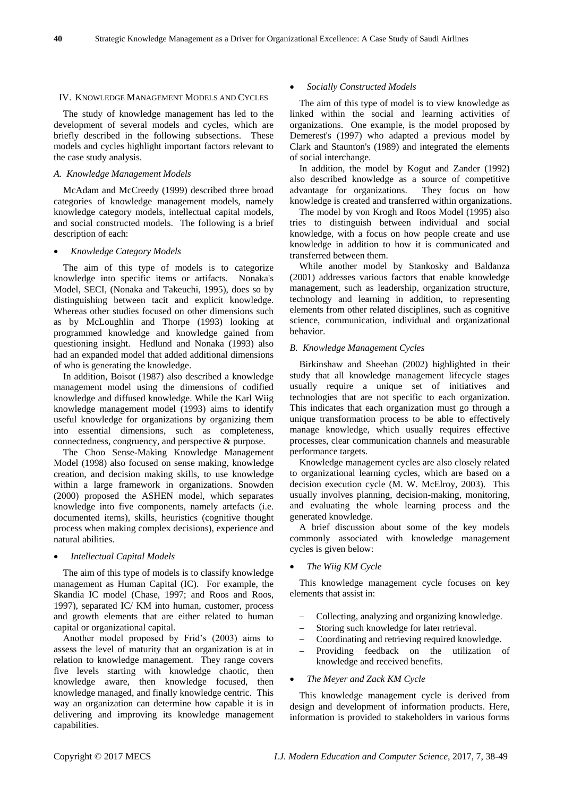#### IV. KNOWLEDGE MANAGEMENT MODELS AND CYCLES

The study of knowledge management has led to the development of several models and cycles, which are briefly described in the following subsections. These models and cycles highlight important factors relevant to the case study analysis.

## *A. Knowledge Management Models*

McAdam and McCreedy (1999) described three broad categories of knowledge management models, namely knowledge category models, intellectual capital models, and social constructed models. The following is a brief description of each:

#### *Knowledge Category Models*

The aim of this type of models is to categorize knowledge into specific items or artifacts. Nonaka's Model, SECI, (Nonaka and Takeuchi, 1995), does so by distinguishing between tacit and explicit knowledge. Whereas other studies focused on other dimensions such as by McLoughlin and Thorpe (1993) looking at programmed knowledge and knowledge gained from questioning insight. Hedlund and Nonaka (1993) also had an expanded model that added additional dimensions of who is generating the knowledge.

In addition, Boisot (1987) also described a knowledge management model using the dimensions of codified knowledge and diffused knowledge. While the Karl Wiig knowledge management model (1993) aims to identify useful knowledge for organizations by organizing them into essential dimensions, such as completeness, connectedness, congruency, and perspective & purpose.

The Choo Sense-Making Knowledge Management Model (1998) also focused on sense making, knowledge creation, and decision making skills, to use knowledge within a large framework in organizations. Snowden (2000) proposed the ASHEN model, which separates knowledge into five components, namely artefacts (i.e. documented items), skills, heuristics (cognitive thought process when making complex decisions), experience and natural abilities.

#### *Intellectual Capital Models*

The aim of this type of models is to classify knowledge management as Human Capital (IC). For example, the Skandia IC model (Chase, 1997; and Roos and Roos, 1997), separated IC/ KM into human, customer, process and growth elements that are either related to human capital or organizational capital.

Another model proposed by Frid's (2003) aims to assess the level of maturity that an organization is at in relation to knowledge management. They range covers five levels starting with knowledge chaotic, then knowledge aware, then knowledge focused, then knowledge managed, and finally knowledge centric. This way an organization can determine how capable it is in delivering and improving its knowledge management capabilities.

#### *Socially Constructed Models*

The aim of this type of model is to view knowledge as linked within the social and learning activities of organizations. One example, is the model proposed by Demerest's (1997) who adapted a previous model by Clark and Staunton's (1989) and integrated the elements of social interchange.

In addition, the model by Kogut and Zander (1992) also described knowledge as a source of competitive advantage for organizations. They focus on how knowledge is created and transferred within organizations.

The model by von Krogh and Roos Model (1995) also tries to distinguish between individual and social knowledge, with a focus on how people create and use knowledge in addition to how it is communicated and transferred between them.

While another model by Stankosky and Baldanza (2001) addresses various factors that enable knowledge management, such as leadership, organization structure, technology and learning in addition, to representing elements from other related disciplines, such as cognitive science, communication, individual and organizational behavior.

## *B. Knowledge Management Cycles*

Birkinshaw and Sheehan (2002) highlighted in their study that all knowledge management lifecycle stages usually require a unique set of initiatives and technologies that are not specific to each organization. This indicates that each organization must go through a unique transformation process to be able to effectively manage knowledge, which usually requires effective processes, clear communication channels and measurable performance targets.

Knowledge management cycles are also closely related to organizational learning cycles, which are based on a decision execution cycle (M. W. McElroy, 2003). This usually involves planning, decision-making, monitoring, and evaluating the whole learning process and the generated knowledge.

A brief discussion about some of the key models commonly associated with knowledge management cycles is given below:

## *The Wiig KM Cycle*

This knowledge management cycle focuses on key elements that assist in:

- Collecting, analyzing and organizing knowledge.
- Storing such knowledge for later retrieval.
- Coordinating and retrieving required knowledge.
- Providing feedback on the utilization of knowledge and received benefits.

#### *The Meyer and Zack KM Cycle*

This knowledge management cycle is derived from design and development of information products. Here, information is provided to stakeholders in various forms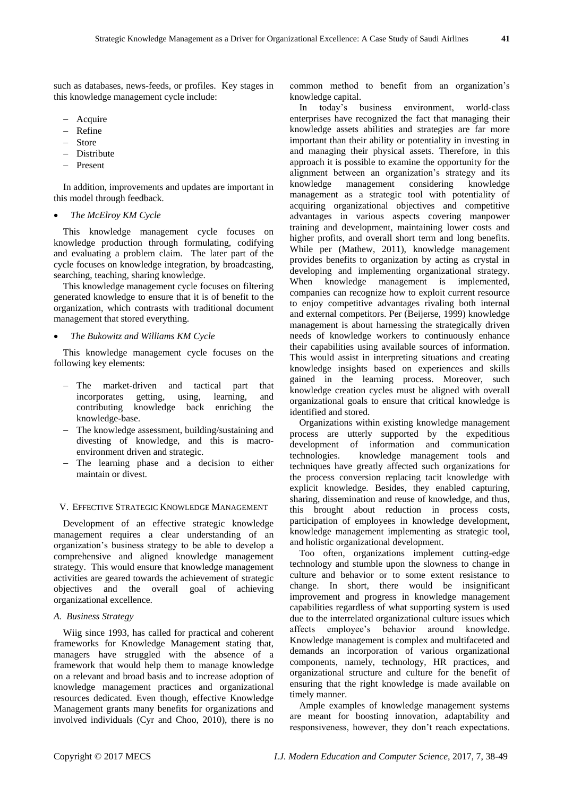such as databases, news-feeds, or profiles. Key stages in this knowledge management cycle include:

- Acquire
- Refine
- Store
- Distribute
- Present

In addition, improvements and updates are important in this model through feedback.

#### *The McElroy KM Cycle*

This knowledge management cycle focuses on knowledge production through formulating, codifying and evaluating a problem claim. The later part of the cycle focuses on knowledge integration, by broadcasting, searching, teaching, sharing knowledge.

This knowledge management cycle focuses on filtering generated knowledge to ensure that it is of benefit to the organization, which contrasts with traditional document management that stored everything.

*The Bukowitz and Williams KM Cycle*

This knowledge management cycle focuses on the following key elements:

- The market-driven and tactical part that incorporates getting, using, learning, and contributing knowledge back enriching the knowledge-base.
- The knowledge assessment, building/sustaining and divesting of knowledge, and this is macroenvironment driven and strategic.
- The learning phase and a decision to either maintain or divest.

#### V. EFFECTIVE STRATEGIC KNOWLEDGE MANAGEMENT

Development of an effective strategic knowledge management requires a clear understanding of an organization's business strategy to be able to develop a comprehensive and aligned knowledge management strategy. This would ensure that knowledge management activities are geared towards the achievement of strategic objectives and the overall goal of achieving organizational excellence.

## *A. Business Strategy*

Wiig since 1993, has called for practical and coherent frameworks for Knowledge Management stating that, managers have struggled with the absence of a framework that would help them to manage knowledge on a relevant and broad basis and to increase adoption of knowledge management practices and organizational resources dedicated. Even though, effective Knowledge Management grants many benefits for organizations and involved individuals (Cyr and Choo, 2010), there is no

common method to benefit from an organization's knowledge capital.

In today's business environment, world-class enterprises have recognized the fact that managing their knowledge assets abilities and strategies are far more important than their ability or potentiality in investing in and managing their physical assets. Therefore, in this approach it is possible to examine the opportunity for the alignment between an organization's strategy and its knowledge management considering knowledge management as a strategic tool with potentiality of acquiring organizational objectives and competitive advantages in various aspects covering manpower training and development, maintaining lower costs and higher profits, and overall short term and long benefits. While per (Mathew, 2011), knowledge management provides benefits to organization by acting as crystal in developing and implementing organizational strategy. When knowledge management is implemented, companies can recognize how to exploit current resource to enjoy competitive advantages rivaling both internal and external competitors. Per (Beijerse, 1999) knowledge management is about harnessing the strategically driven needs of knowledge workers to continuously enhance their capabilities using available sources of information. This would assist in interpreting situations and creating knowledge insights based on experiences and skills gained in the learning process. Moreover, such knowledge creation cycles must be aligned with overall organizational goals to ensure that critical knowledge is identified and stored.

Organizations within existing knowledge management process are utterly supported by the expeditious development of information and communication technologies. knowledge management tools and techniques have greatly affected such organizations for the process conversion replacing tacit knowledge with explicit knowledge. Besides, they enabled capturing, sharing, dissemination and reuse of knowledge, and thus, this brought about reduction in process costs, participation of employees in knowledge development, knowledge management implementing as strategic tool, and holistic organizational development.

Too often, organizations implement cutting-edge technology and stumble upon the slowness to change in culture and behavior or to some extent resistance to change. In short, there would be insignificant improvement and progress in knowledge management capabilities regardless of what supporting system is used due to the interrelated organizational culture issues which affects employee's behavior around knowledge. Knowledge management is complex and multifaceted and demands an incorporation of various organizational components, namely, technology, HR practices, and organizational structure and culture for the benefit of ensuring that the right knowledge is made available on timely manner.

Ample examples of knowledge management systems are meant for boosting innovation, adaptability and responsiveness, however, they don't reach expectations.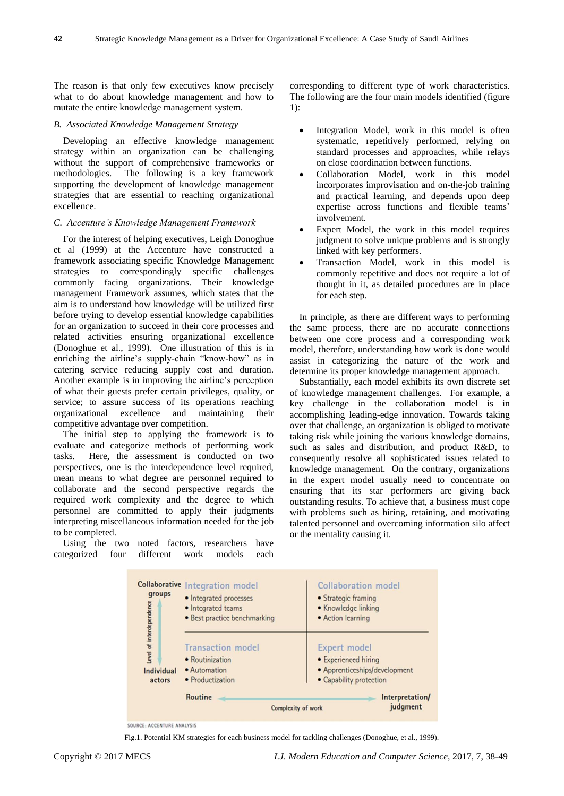The reason is that only few executives know precisely what to do about knowledge management and how to mutate the entire knowledge management system.

#### *B. Associated Knowledge Management Strategy*

Developing an effective knowledge management strategy within an organization can be challenging without the support of comprehensive frameworks or methodologies. The following is a key framework supporting the development of knowledge management strategies that are essential to reaching organizational excellence.

#### *C. Accenture's Knowledge Management Framework*

For the interest of helping executives, Leigh Donoghue et al (1999) at the Accenture have constructed a framework associating specific Knowledge Management strategies to correspondingly specific challenges commonly facing organizations. Their knowledge management Framework assumes, which states that the aim is to understand how knowledge will be utilized first before trying to develop essential knowledge capabilities for an organization to succeed in their core processes and related activities ensuring organizational excellence (Donoghue et al., 1999). One illustration of this is in enriching the airline's supply-chain "know-how" as in catering service reducing supply cost and duration. Another example is in improving the airline's perception of what their guests prefer certain privileges, quality, or service; to assure success of its operations reaching organizational excellence and maintaining their competitive advantage over competition.

The initial step to applying the framework is to evaluate and categorize methods of performing work tasks. Here, the assessment is conducted on two perspectives, one is the interdependence level required, mean means to what degree are personnel required to collaborate and the second perspective regards the required work complexity and the degree to which personnel are committed to apply their judgments interpreting miscellaneous information needed for the job to be completed.

Using the two noted factors, researchers have categorized four different work models each

corresponding to different type of work characteristics. The following are the four main models identified (figure 1):

- Integration Model, work in this model is often systematic, repetitively performed, relying on standard processes and approaches, while relays on close coordination between functions.
- Collaboration Model, work in this model incorporates improvisation and on-the-job training and practical learning, and depends upon deep expertise across functions and flexible teams' involvement.
- Expert Model, the work in this model requires judgment to solve unique problems and is strongly linked with key performers.
- Transaction Model, work in this model is commonly repetitive and does not require a lot of thought in it, as detailed procedures are in place for each step.

In principle, as there are different ways to performing the same process, there are no accurate connections between one core process and a corresponding work model, therefore, understanding how work is done would assist in categorizing the nature of the work and determine its proper knowledge management approach.

Substantially, each model exhibits its own discrete set of knowledge management challenges. For example, a key challenge in the collaboration model is in accomplishing leading-edge innovation. Towards taking over that challenge, an organization is obliged to motivate taking risk while joining the various knowledge domains, such as sales and distribution, and product R&D, to consequently resolve all sophisticated issues related to knowledge management. On the contrary, organizations in the expert model usually need to concentrate on ensuring that its star performers are giving back outstanding results. To achieve that, a business must cope with problems such as hiring, retaining, and motivating talented personnel and overcoming information silo affect or the mentality causing it.

| groups                                           | <b>Collaborative Integration model</b><br>• Integrated processes<br>• Integrated teams<br>· Best practice benchmarking |                                                                                                  | Collaboration model<br>• Strategic framing<br>• Knowledge linking<br>• Action learning |  |
|--------------------------------------------------|------------------------------------------------------------------------------------------------------------------------|--------------------------------------------------------------------------------------------------|----------------------------------------------------------------------------------------|--|
| Level of interdependence<br>Individual<br>actors | <b>Transaction</b> model<br>• Routinization<br>• Automation<br>• Productization                                        | Expert model<br>• Experienced hiring<br>• Apprenticeships/development<br>• Capability protection |                                                                                        |  |
|                                                  | Routine                                                                                                                | <b>Complexity of work</b>                                                                        | Interpretation/<br>judgment                                                            |  |

SOURCE: ACCENTURE ANALYSIS

Fig.1. Potential KM strategies for each business model for tackling challenges (Donoghue, et al., 1999).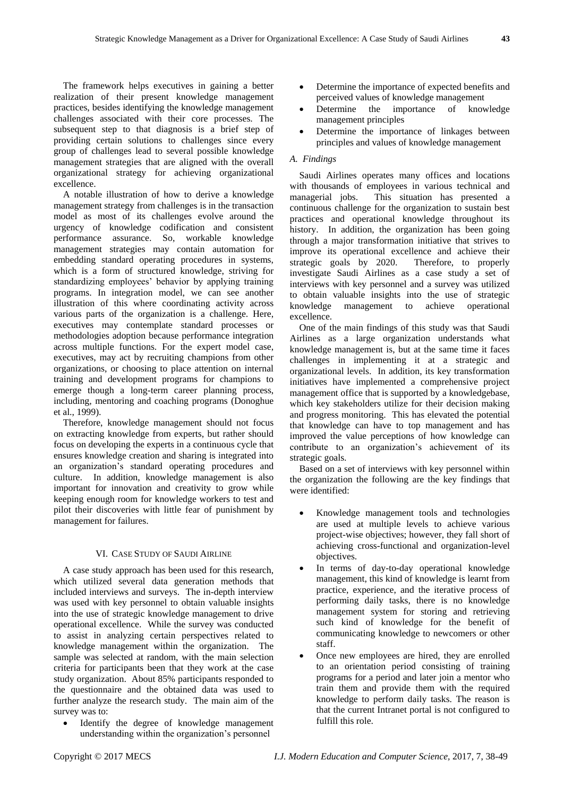The framework helps executives in gaining a better realization of their present knowledge management practices, besides identifying the knowledge management challenges associated with their core processes. The subsequent step to that diagnosis is a brief step of providing certain solutions to challenges since every group of challenges lead to several possible knowledge management strategies that are aligned with the overall organizational strategy for achieving organizational excellence.

A notable illustration of how to derive a knowledge management strategy from challenges is in the transaction model as most of its challenges evolve around the urgency of knowledge codification and consistent performance assurance. So, workable knowledge management strategies may contain automation for embedding standard operating procedures in systems, which is a form of structured knowledge, striving for standardizing employees' behavior by applying training programs. In integration model, we can see another illustration of this where coordinating activity across various parts of the organization is a challenge. Here, executives may contemplate standard processes or methodologies adoption because performance integration across multiple functions. For the expert model case, executives, may act by recruiting champions from other organizations, or choosing to place attention on internal training and development programs for champions to emerge though a long-term career planning process, including, mentoring and coaching programs (Donoghue et al., 1999).

Therefore, knowledge management should not focus on extracting knowledge from experts, but rather should focus on developing the experts in a continuous cycle that ensures knowledge creation and sharing is integrated into an organization's standard operating procedures and culture. In addition, knowledge management is also important for innovation and creativity to grow while keeping enough room for knowledge workers to test and pilot their discoveries with little fear of punishment by management for failures.

## VI. CASE STUDY OF SAUDI AIRLINE

A case study approach has been used for this research, which utilized several data generation methods that included interviews and surveys. The in-depth interview was used with key personnel to obtain valuable insights into the use of strategic knowledge management to drive operational excellence. While the survey was conducted to assist in analyzing certain perspectives related to knowledge management within the organization. The sample was selected at random, with the main selection criteria for participants been that they work at the case study organization. About 85% participants responded to the questionnaire and the obtained data was used to further analyze the research study. The main aim of the survey was to:

 Identify the degree of knowledge management understanding within the organization's personnel

- Determine the importance of expected benefits and perceived values of knowledge management
- Determine the importance of knowledge management principles
- Determine the importance of linkages between principles and values of knowledge management

## *A. Findings*

Saudi Airlines operates many offices and locations with thousands of employees in various technical and managerial jobs. This situation has presented a continuous challenge for the organization to sustain best practices and operational knowledge throughout its history. In addition, the organization has been going through a major transformation initiative that strives to improve its operational excellence and achieve their strategic goals by 2020. Therefore, to properly investigate Saudi Airlines as a case study a set of interviews with key personnel and a survey was utilized to obtain valuable insights into the use of strategic knowledge management to achieve operational excellence.

One of the main findings of this study was that Saudi Airlines as a large organization understands what knowledge management is, but at the same time it faces challenges in implementing it at a strategic and organizational levels. In addition, its key transformation initiatives have implemented a comprehensive project management office that is supported by a knowledgebase, which key stakeholders utilize for their decision making and progress monitoring. This has elevated the potential that knowledge can have to top management and has improved the value perceptions of how knowledge can contribute to an organization's achievement of its strategic goals.

Based on a set of interviews with key personnel within the organization the following are the key findings that were identified:

- Knowledge management tools and technologies are used at multiple levels to achieve various project-wise objectives; however, they fall short of achieving cross-functional and organization-level objectives.
- In terms of day-to-day operational knowledge management, this kind of knowledge is learnt from practice, experience, and the iterative process of performing daily tasks, there is no knowledge management system for storing and retrieving such kind of knowledge for the benefit of communicating knowledge to newcomers or other staff.
- Once new employees are hired, they are enrolled to an orientation period consisting of training programs for a period and later join a mentor who train them and provide them with the required knowledge to perform daily tasks. The reason is that the current Intranet portal is not configured to fulfill this role.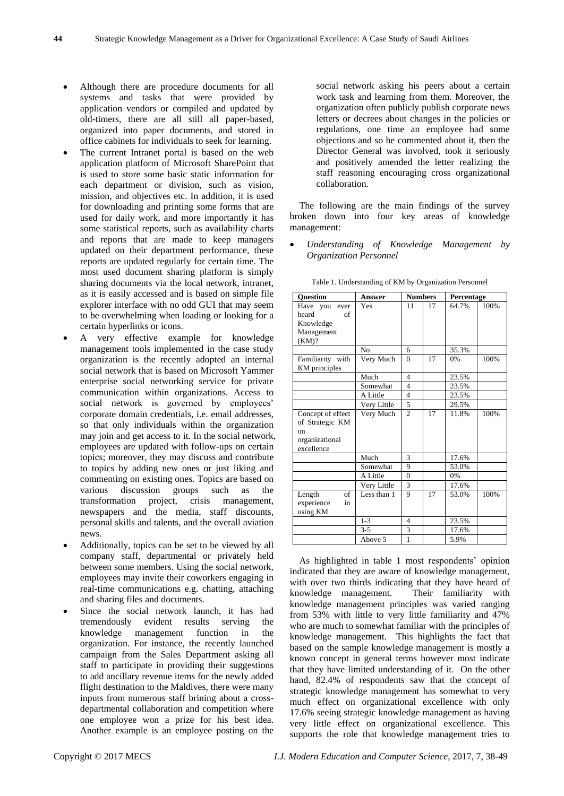- Although there are procedure documents for all systems and tasks that were provided by application vendors or compiled and updated by old-timers, there are all still all paper-based, organized into paper documents, and stored in office cabinets for individuals to seek for learning.
- The current Intranet portal is based on the web application platform of Microsoft SharePoint that is used to store some basic static information for each department or division, such as vision, mission, and objectives etc. In addition, it is used for downloading and printing some forms that are used for daily work, and more importantly it has some statistical reports, such as availability charts and reports that are made to keep managers updated on their department performance, these reports are updated regularly for certain time. The most used document sharing platform is simply sharing documents via the local network, intranet, as it is easily accessed and is based on simple file explorer interface with no odd GUI that may seem to be overwhelming when loading or looking for a certain hyperlinks or icons.
- A very effective example for knowledge management tools implemented in the case study organization is the recently adopted an internal social network that is based on Microsoft Yammer enterprise social networking service for private communication within organizations. Access to social network is governed by employees' corporate domain credentials, i.e. email addresses, so that only individuals within the organization may join and get access to it. In the social network, employees are updated with follow-ups on certain topics; moreover, they may discuss and contribute to topics by adding new ones or just liking and commenting on existing ones. Topics are based on various discussion groups such as the transformation project, crisis management, newspapers and the media, staff discounts, personal skills and talents, and the overall aviation news.
- Additionally, topics can be set to be viewed by all company staff, departmental or privately held between some members. Using the social network, employees may invite their coworkers engaging in real-time communications e.g. chatting, attaching and sharing files and documents.
- Since the social network launch, it has had tremendously evident results serving the knowledge management function in the organization. For instance, the recently launched campaign from the Sales Department asking all staff to participate in providing their suggestions to add ancillary revenue items for the newly added flight destination to the Maldives, there were many inputs from numerous staff brining about a crossdepartmental collaboration and competition where one employee won a prize for his best idea. Another example is an employee posting on the

social network asking his peers about a certain work task and learning from them. Moreover, the organization often publicly publish corporate news letters or decrees about changes in the policies or regulations, one time an employee had some objections and so he commented about it, then the Director General was involved, took it seriously and positively amended the letter realizing the staff reasoning encouraging cross organizational collaboration.

The following are the main findings of the survey broken down into four key areas of knowledge management:

 *Understanding of Knowledge Management by Organization Personnel*

| <b>Ouestion</b>   | <b>Answer</b>  | <b>Numbers</b> |    | Percentage |      |
|-------------------|----------------|----------------|----|------------|------|
| Have you<br>ever  | Yes            | 11             | 17 | 64.7%      | 100% |
| heard<br>of       |                |                |    |            |      |
| Knowledge         |                |                |    |            |      |
| Management        |                |                |    |            |      |
| (KM)?             |                |                |    |            |      |
|                   | N <sub>0</sub> | 6              |    | 35.3%      |      |
| Familiarity with  | Very Much      | $\theta$       | 17 | 0%         | 100% |
| KM principles     |                |                |    |            |      |
|                   | Much           | $\overline{4}$ |    | 23.5%      |      |
|                   | Somewhat       | $\overline{4}$ |    | 23.5%      |      |
|                   | A Little       | $\overline{4}$ |    | 23.5%      |      |
|                   | Very Little    | 5              |    | 29.5%      |      |
| Concept of effect | Very Much      | $\mathfrak{D}$ | 17 | 11.8%      | 100% |
| of Strategic KM   |                |                |    |            |      |
| on                |                |                |    |            |      |
| organizational    |                |                |    |            |      |
| excellence        |                |                |    |            |      |
|                   | Much           | 3              |    | 17.6%      |      |
|                   | Somewhat       | 9              |    | 53.0%      |      |
|                   | A Little       | $\theta$       |    | 0%         |      |
|                   | Very Little    | 3              |    | 17.6%      |      |
| of<br>Length      | Less than 1    | 9              | 17 | 53.0%      | 100% |
| experience<br>in  |                |                |    |            |      |
| using KM          |                |                |    |            |      |
|                   | $1 - 3$        | 4              |    | 23.5%      |      |
|                   | $3 - 5$        | 3              |    | 17.6%      |      |
|                   | Above 5        | $\mathbf{1}$   |    | 5.9%       |      |

Table 1. Understanding of KM by Organization Personnel

As highlighted in table 1 most respondents' opinion indicated that they are aware of knowledge management, with over two thirds indicating that they have heard of knowledge management. Their familiarity with knowledge management principles was varied ranging from 53% with little to very little familiarity and 47% who are much to somewhat familiar with the principles of knowledge management. This highlights the fact that based on the sample knowledge management is mostly a known concept in general terms however most indicate that they have limited understanding of it. On the other hand, 82.4% of respondents saw that the concept of strategic knowledge management has somewhat to very much effect on organizational excellence with only 17.6% seeing strategic knowledge management as having very little effect on organizational excellence. This supports the role that knowledge management tries to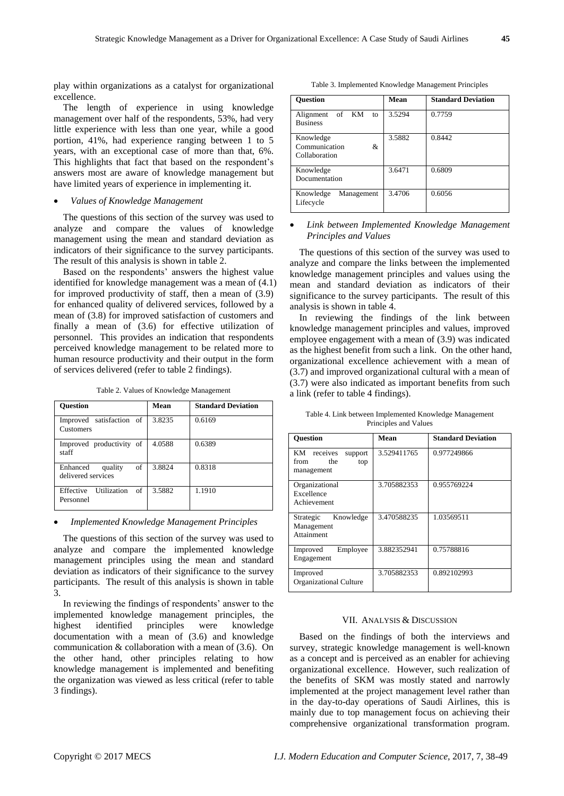play within organizations as a catalyst for organizational excellence.

The length of experience in using knowledge management over half of the respondents, 53%, had very little experience with less than one year, while a good portion, 41%, had experience ranging between 1 to 5 years, with an exceptional case of more than that, 6%. This highlights that fact that based on the respondent's answers most are aware of knowledge management but have limited years of experience in implementing it.

## *Values of Knowledge Management*

The questions of this section of the survey was used to analyze and compare the values of knowledge management using the mean and standard deviation as indicators of their significance to the survey participants. The result of this analysis is shown in table 2.

Based on the respondents' answers the highest value identified for knowledge management was a mean of (4.1) for improved productivity of staff, then a mean of (3.9) for enhanced quality of delivered services, followed by a mean of (3.8) for improved satisfaction of customers and finally a mean of (3.6) for effective utilization of personnel. This provides an indication that respondents perceived knowledge management to be related more to human resource productivity and their output in the form of services delivered (refer to table 2 findings).

Table 2. Values of Knowledge Management

| <b>Ouestion</b>                                 | Mean   | <b>Standard Deviation</b> |
|-------------------------------------------------|--------|---------------------------|
| Improved satisfaction of<br>Customers           | 3.8235 | 0.6169                    |
| Improved productivity of<br>staff               | 4.0588 | 0.6389                    |
| of<br>Enhanced<br>quality<br>delivered services | 3.8824 | 0.8318                    |
| Utilization<br>Effective<br>- of<br>Personnel   | 3.5882 | 1.1910                    |

#### *Implemented Knowledge Management Principles*

The questions of this section of the survey was used to analyze and compare the implemented knowledge management principles using the mean and standard deviation as indicators of their significance to the survey participants. The result of this analysis is shown in table 3.

In reviewing the findings of respondents' answer to the implemented knowledge management principles, the highest identified principles were knowledge documentation with a mean of (3.6) and knowledge communication & collaboration with a mean of (3.6). On the other hand, other principles relating to how knowledge management is implemented and benefiting the organization was viewed as less critical (refer to table 3 findings).

Table 3. Implemented Knowledge Management Principles

| <b>Ouestion</b>                                  | Mean   | <b>Standard Deviation</b> |
|--------------------------------------------------|--------|---------------------------|
| of KM<br>Alignment<br>to<br><b>Business</b>      | 3.5294 | 0.7759                    |
| Knowledge<br>Communication<br>&<br>Collaboration | 3.5882 | 0.8442                    |
| Knowledge<br>Documentation                       | 3.6471 | 0.6809                    |
| Knowledge<br>Management<br>Lifecycle             | 3.4706 | 0.6056                    |

#### *Link between Implemented Knowledge Management Principles and Values*

The questions of this section of the survey was used to analyze and compare the links between the implemented knowledge management principles and values using the mean and standard deviation as indicators of their significance to the survey participants. The result of this analysis is shown in table 4.

In reviewing the findings of the link between knowledge management principles and values, improved employee engagement with a mean of (3.9) was indicated as the highest benefit from such a link. On the other hand, organizational excellence achievement with a mean of (3.7) and improved organizational cultural with a mean of (3.7) were also indicated as important benefits from such a link (refer to table 4 findings).

| Table 4. Link between Implemented Knowledge Management |  |
|--------------------------------------------------------|--|
| Principles and Values                                  |  |

| <b>Ouestion</b>                                            | Mean        | <b>Standard Deviation</b> |
|------------------------------------------------------------|-------------|---------------------------|
| KM receives<br>support<br>from<br>the<br>top<br>management | 3.529411765 | 0.977249866               |
| Organizational<br>Excellence<br>Achievement                | 3.705882353 | 0.955769224               |
| Knowledge<br>Strategic<br>Management<br>Attainment         | 3.470588235 | 1.03569511                |
| Employee<br>Improved<br>Engagement                         | 3.882352941 | 0.75788816                |
| Improved<br><b>Organizational Culture</b>                  | 3.705882353 | 0.892102993               |

#### VII. ANALYSIS & DISCUSSION

Based on the findings of both the interviews and survey, strategic knowledge management is well-known as a concept and is perceived as an enabler for achieving organizational excellence. However, such realization of the benefits of SKM was mostly stated and narrowly implemented at the project management level rather than in the day-to-day operations of Saudi Airlines, this is mainly due to top management focus on achieving their comprehensive organizational transformation program.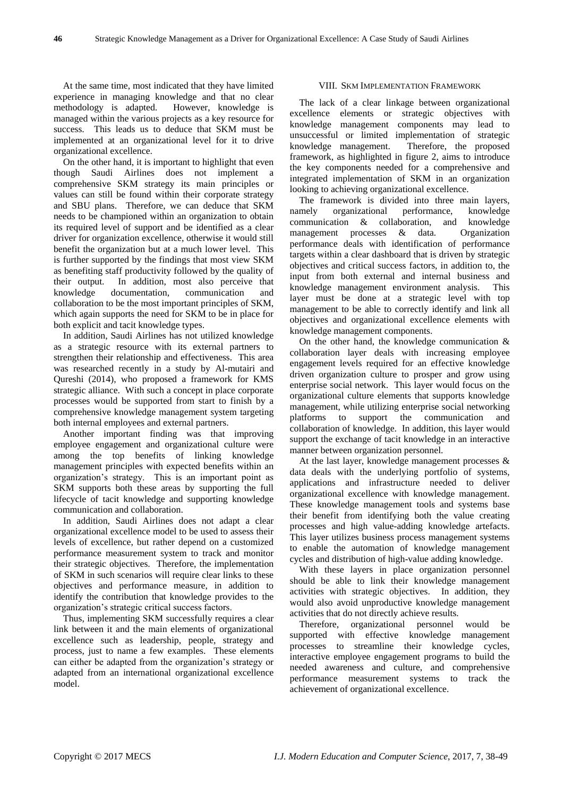At the same time, most indicated that they have limited experience in managing knowledge and that no clear methodology is adapted. However, knowledge is managed within the various projects as a key resource for success. This leads us to deduce that SKM must be implemented at an organizational level for it to drive organizational excellence.

On the other hand, it is important to highlight that even though Saudi Airlines does not implement a comprehensive SKM strategy its main principles or values can still be found within their corporate strategy and SBU plans. Therefore, we can deduce that SKM needs to be championed within an organization to obtain its required level of support and be identified as a clear driver for organization excellence, otherwise it would still benefit the organization but at a much lower level. This is further supported by the findings that most view SKM as benefiting staff productivity followed by the quality of their output. In addition, most also perceive that knowledge documentation, communication and collaboration to be the most important principles of SKM, which again supports the need for SKM to be in place for both explicit and tacit knowledge types.

In addition, Saudi Airlines has not utilized knowledge as a strategic resource with its external partners to strengthen their relationship and effectiveness. This area was researched recently in a study by Al-mutairi and Qureshi (2014), who proposed a framework for KMS strategic alliance. With such a concept in place corporate processes would be supported from start to finish by a comprehensive knowledge management system targeting both internal employees and external partners.

Another important finding was that improving employee engagement and organizational culture were among the top benefits of linking knowledge management principles with expected benefits within an organization's strategy. This is an important point as SKM supports both these areas by supporting the full lifecycle of tacit knowledge and supporting knowledge communication and collaboration.

In addition, Saudi Airlines does not adapt a clear organizational excellence model to be used to assess their levels of excellence, but rather depend on a customized performance measurement system to track and monitor their strategic objectives. Therefore, the implementation of SKM in such scenarios will require clear links to these objectives and performance measure, in addition to identify the contribution that knowledge provides to the organization's strategic critical success factors.

Thus, implementing SKM successfully requires a clear link between it and the main elements of organizational excellence such as leadership, people, strategy and process, just to name a few examples. These elements can either be adapted from the organization's strategy or adapted from an international organizational excellence model.

## VIII. SKM IMPLEMENTATION FRAMEWORK

The lack of a clear linkage between organizational excellence elements or strategic objectives with knowledge management components may lead to unsuccessful or limited implementation of strategic knowledge management. Therefore, the proposed framework, as highlighted in figure 2, aims to introduce the key components needed for a comprehensive and integrated implementation of SKM in an organization looking to achieving organizational excellence.

The framework is divided into three main layers, namely organizational performance, knowledge communication & collaboration, and knowledge management processes & data. Organization performance deals with identification of performance targets within a clear dashboard that is driven by strategic objectives and critical success factors, in addition to, the input from both external and internal business and knowledge management environment analysis. This layer must be done at a strategic level with top management to be able to correctly identify and link all objectives and organizational excellence elements with knowledge management components.

On the other hand, the knowledge communication & collaboration layer deals with increasing employee engagement levels required for an effective knowledge driven organization culture to prosper and grow using enterprise social network. This layer would focus on the organizational culture elements that supports knowledge management, while utilizing enterprise social networking platforms to support the communication and collaboration of knowledge. In addition, this layer would support the exchange of tacit knowledge in an interactive manner between organization personnel.

At the last layer, knowledge management processes & data deals with the underlying portfolio of systems, applications and infrastructure needed to deliver organizational excellence with knowledge management. These knowledge management tools and systems base their benefit from identifying both the value creating processes and high value-adding knowledge artefacts. This layer utilizes business process management systems to enable the automation of knowledge management cycles and distribution of high-value adding knowledge.

With these layers in place organization personnel should be able to link their knowledge management activities with strategic objectives. In addition, they would also avoid unproductive knowledge management activities that do not directly achieve results.

Therefore, organizational personnel would be supported with effective knowledge management processes to streamline their knowledge cycles, interactive employee engagement programs to build the needed awareness and culture, and comprehensive performance measurement systems to track the achievement of organizational excellence.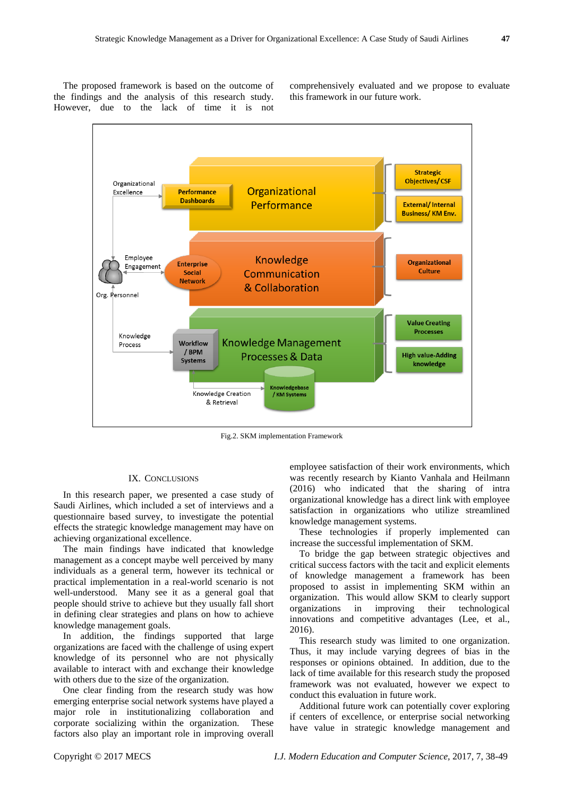The proposed framework is based on the outcome of the findings and the analysis of this research study. However, due to the lack of time it is not

comprehensively evaluated and we propose to evaluate this framework in our future work.



Fig.2. SKM implementation Framework

#### IX. CONCLUSIONS

In this research paper, we presented a case study of Saudi Airlines, which included a set of interviews and a questionnaire based survey, to investigate the potential effects the strategic knowledge management may have on achieving organizational excellence.

The main findings have indicated that knowledge management as a concept maybe well perceived by many individuals as a general term, however its technical or practical implementation in a real-world scenario is not well-understood. Many see it as a general goal that people should strive to achieve but they usually fall short in defining clear strategies and plans on how to achieve knowledge management goals.

In addition, the findings supported that large organizations are faced with the challenge of using expert knowledge of its personnel who are not physically available to interact with and exchange their knowledge with others due to the size of the organization.

One clear finding from the research study was how emerging enterprise social network systems have played a major role in institutionalizing collaboration and corporate socializing within the organization. These factors also play an important role in improving overall

employee satisfaction of their work environments, which was recently research by Kianto Vanhala and Heilmann (2016) who indicated that the sharing of intra organizational knowledge has a direct link with employee satisfaction in organizations who utilize streamlined knowledge management systems.

These technologies if properly implemented can increase the successful implementation of SKM.

To bridge the gap between strategic objectives and critical success factors with the tacit and explicit elements of knowledge management a framework has been proposed to assist in implementing SKM within an organization. This would allow SKM to clearly support organizations in improving their technological innovations and competitive advantages (Lee, et al., 2016).

This research study was limited to one organization. Thus, it may include varying degrees of bias in the responses or opinions obtained. In addition, due to the lack of time available for this research study the proposed framework was not evaluated, however we expect to conduct this evaluation in future work.

Additional future work can potentially cover exploring if centers of excellence, or enterprise social networking have value in strategic knowledge management and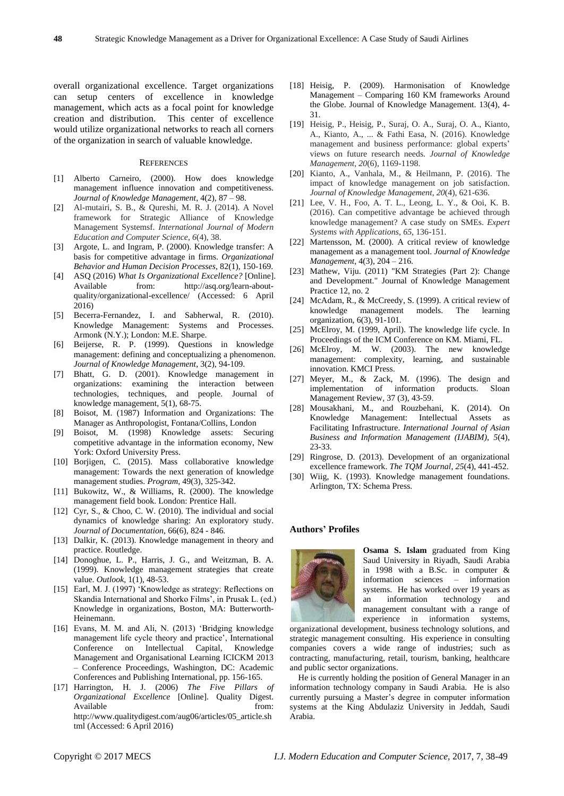overall organizational excellence. Target organizations can setup centers of excellence in knowledge management, which acts as a focal point for knowledge creation and distribution. This center of excellence would utilize organizational networks to reach all corners of the organization in search of valuable knowledge.

#### **REFERENCES**

- [1] Alberto Carneiro, (2000). How does knowledge management influence innovation and competitiveness. *Journal of Knowledge Management*, 4(2), 87 – 98.
- [2] Al-mutairi, S. B., & Qureshi, M. R. J. (2014). A Novel framework for Strategic Alliance of Knowledge Management Systemsf. *International Journal of Modern Education and Computer Science*, *6*(4), 38.
- [3] Argote, L. and Ingram, P. (2000). Knowledge transfer: A basis for competitive advantage in firms. *Organizational Behavior and Human Decision Processes*, 82(1), 150-169.
- [4] ASQ (2016) *What Is Organizational Excellence?* [Online]. Available from: http://asq.org/learn-aboutquality/organizational-excellence/ (Accessed: 6 April 2016)
- [5] Becerra-Fernandez, I. and Sabherwal, R. (2010). Knowledge Management: Systems and Processes. Armonk (N.Y.); London: M.E. Sharpe.
- [6] Beijerse, R. P. (1999). Questions in knowledge management: defining and conceptualizing a phenomenon. *Journal of Knowledge Management*, 3(2), 94-109.
- [7] Bhatt, G. D. (2001). Knowledge management in organizations: examining the interaction between technologies, techniques, and people. Journal of knowledge management, 5(1), 68-75.
- [8] Boisot, M. (1987) Information and Organizations: The Manager as Anthropologist, Fontana/Collins, London
- [9] Boisot, M. (1998) Knowledge assets: Securing competitive advantage in the information economy, New York: Oxford University Press.
- [10] Borjigen, C. (2015). Mass collaborative knowledge management: Towards the next generation of knowledge management studies. *Program*, 49(3), 325-342.
- [11] Bukowitz, W., & Williams, R. (2000). The knowledge management field book. London: Prentice Hall.
- [12] Cyr, S., & Choo, C. W. (2010). The individual and social dynamics of knowledge sharing: An exploratory study. *Journal of Documentation*, 66(6), 824 - 846.
- [13] Dalkir, K. (2013). Knowledge management in theory and practice. Routledge.
- [14] Donoghue, L. P., Harris, J. G., and Weitzman, B. A. (1999). Knowledge management strategies that create value. *Outlook*, 1(1), 48-53.
- [15] Earl, M. J. (1997) 'Knowledge as strategy: Reflections on Skandia International and Shorko Films', in Prusak L. (ed.) Knowledge in organizations, Boston, MA: Butterworth-Heinemann.
- [16] Evans, M. M. and Ali, N. (2013) 'Bridging knowledge management life cycle theory and practice', International Conference on Intellectual Capital, Knowledge Management and Organisational Learning ICICKM 2013 – Conference Proceedings, Washington, DC: Academic Conferences and Publishing International, pp. 156-165.
- [17] Harrington, H. J. (2006) *The Five Pillars of Organizational Excellence* [Online]. Quality Digest. Available from: http://www.qualitydigest.com/aug06/articles/05\_article.sh tml (Accessed: 6 April 2016)
- [18] Heisig, P. (2009). Harmonisation of Knowledge Management – Comparing 160 KM frameworks Around the Globe. Journal of Knowledge Management. 13(4), 4- 31.
- [19] Heisig, P., Heisig, P., Suraj, O. A., Suraj, O. A., Kianto, A., Kianto, A., ... & Fathi Easa, N. (2016). Knowledge management and business performance: global experts' views on future research needs. *Journal of Knowledge Management*, *20*(6), 1169-1198.
- [20] Kianto, A., Vanhala, M., & Heilmann, P. (2016). The impact of knowledge management on job satisfaction. *Journal of Knowledge Management*, *20*(4), 621-636.
- [21] Lee, V. H., Foo, A. T. L., Leong, L. Y., & Ooi, K. B. (2016). Can competitive advantage be achieved through knowledge management? A case study on SMEs. *Expert Systems with Applications*, *65*, 136-151.
- [22] Martensson, M. (2000). A critical review of knowledge management as a management tool. *Journal of Knowledge Management*, 4(3), 204 – 216.
- [23] Mathew, Viju. (2011) "KM Strategies (Part 2): Change and Development." Journal of Knowledge Management Practice 12, no. 2
- [24] McAdam, R., & McCreedy, S. (1999). A critical review of knowledge management models. The learning organization, 6(3), 91-101.
- [25] McElroy, M. (1999, April). The knowledge life cycle. In Proceedings of the ICM Conference on KM. Miami, FL.
- [26] McElroy, M. W. (2003). The new knowledge management: complexity, learning, and sustainable innovation. KMCI Press.
- [27] Meyer, M., & Zack, M. (1996). The design and implementation of information products. Sloan Management Review, 37 (3), 43-59.
- [28] Mousakhani, M., and Rouzbehani, K. (2014). On Knowledge Management: Intellectual Assets as Facilitating Infrastructure. *International Journal of Asian Business and Information Management (IJABIM)*, *5*(4), 23-33.
- [29] Ringrose, D. (2013). Development of an organizational excellence framework. *The TQM Journal*, *25*(4), 441-452.
- [30] Wiig, K. (1993). Knowledge management foundations. Arlington, TX: Schema Press.

## **Authors' Profiles**



**Osama S. Islam** graduated from King Saud University in Riyadh, Saudi Arabia in 1998 with a B.Sc. in computer & information sciences – information systems. He has worked over 19 years as an information technology and management consultant with a range of experience in information systems,

organizational development, business technology solutions, and strategic management consulting. His experience in consulting companies covers a wide range of industries; such as contracting, manufacturing, retail, tourism, banking, healthcare and public sector organizations.

He is currently holding the position of General Manager in an information technology company in Saudi Arabia. He is also currently pursuing a Master's degree in computer information systems at the King Abdulaziz University in Jeddah, Saudi Arabia.